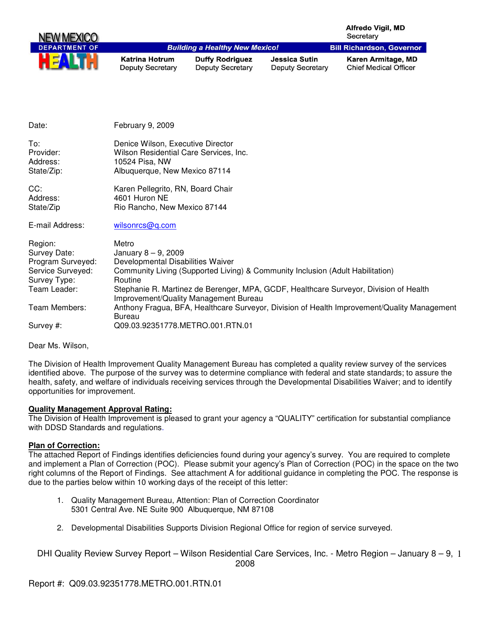| NEW MEXICO           |                                                  |                                                   |                                                 | <b>Alfredo Vigil, MD</b><br>Secretary              |
|----------------------|--------------------------------------------------|---------------------------------------------------|-------------------------------------------------|----------------------------------------------------|
| <b>DEPARTMENT OF</b> |                                                  | <b>Building a Healthy New Mexico!</b>             |                                                 | <b>Bill Richardson, Governor</b>                   |
| HE                   | <b>Katrina Hotrum</b><br><b>Deputy Secretary</b> | <b>Duffy Rodriguez</b><br><b>Deputy Secretary</b> | <b>Jessica Sutin</b><br><b>Deputy Secretary</b> | Karen Armitage, MD<br><b>Chief Medical Officer</b> |

| Date:                                                                                             | February 9, 2009                                                                                                                                                                                                                                                                                    |
|---------------------------------------------------------------------------------------------------|-----------------------------------------------------------------------------------------------------------------------------------------------------------------------------------------------------------------------------------------------------------------------------------------------------|
| To:<br>Provider:<br>Address:<br>State/Zip:                                                        | Denice Wilson, Executive Director<br>Wilson Residential Care Services, Inc.<br>10524 Pisa, NW<br>Albuquerque, New Mexico 87114                                                                                                                                                                      |
| CC:<br>Address:<br>State/Zip                                                                      | Karen Pellegrito, RN, Board Chair<br>4601 Huron NE<br>Rio Rancho, New Mexico 87144                                                                                                                                                                                                                  |
| E-mail Address:                                                                                   | wilsonrcs@q.com                                                                                                                                                                                                                                                                                     |
| Region:<br>Survey Date:<br>Program Surveyed:<br>Service Surveyed:<br>Survey Type:<br>Team Leader: | Metro<br>January $8 - 9$ , 2009<br>Developmental Disabilities Waiver<br>Community Living (Supported Living) & Community Inclusion (Adult Habilitation)<br>Routine<br>Stephanie R. Martinez de Berenger, MPA, GCDF, Healthcare Surveyor, Division of Health<br>Improvement/Quality Management Bureau |
| Team Members:                                                                                     | Anthony Fragua, BFA, Healthcare Surveyor, Division of Health Improvement/Quality Management<br>Bureau                                                                                                                                                                                               |
| Survey #:                                                                                         | Q09.03.92351778.METRO.001.RTN.01                                                                                                                                                                                                                                                                    |

Dear Ms. Wilson,

The Division of Health Improvement Quality Management Bureau has completed a quality review survey of the services identified above. The purpose of the survey was to determine compliance with federal and state standards; to assure the health, safety, and welfare of individuals receiving services through the Developmental Disabilities Waiver; and to identify opportunities for improvement.

## **Quality Management Approval Rating:**

The Division of Health Improvement is pleased to grant your agency a "QUALITY" certification for substantial compliance with DDSD Standards and regulations.

#### **Plan of Correction:**

The attached Report of Findings identifies deficiencies found during your agency's survey. You are required to complete and implement a Plan of Correction (POC). Please submit your agency's Plan of Correction (POC) in the space on the two right columns of the Report of Findings. See attachment A for additional guidance in completing the POC. The response is due to the parties below within 10 working days of the receipt of this letter:

- 1. Quality Management Bureau, Attention: Plan of Correction Coordinator 5301 Central Ave. NE Suite 900 Albuquerque, NM 87108
- 2. Developmental Disabilities Supports Division Regional Office for region of service surveyed.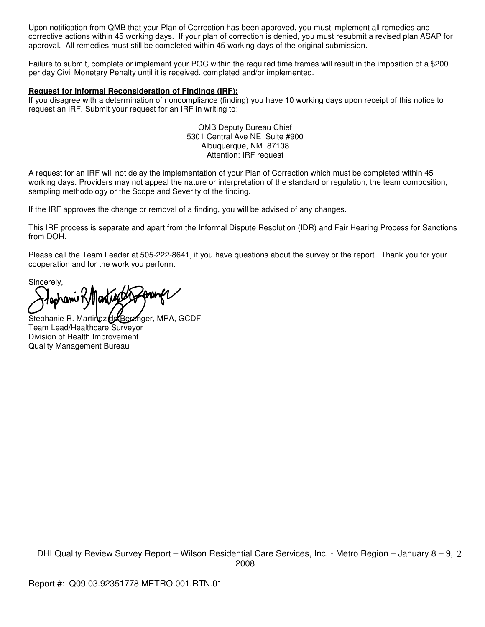Upon notification from QMB that your Plan of Correction has been approved, you must implement all remedies and corrective actions within 45 working days. If your plan of correction is denied, you must resubmit a revised plan ASAP for approval. All remedies must still be completed within 45 working days of the original submission.

Failure to submit, complete or implement your POC within the required time frames will result in the imposition of a \$200 per day Civil Monetary Penalty until it is received, completed and/or implemented.

#### **Request for Informal Reconsideration of Findings (IRF):**

If you disagree with a determination of noncompliance (finding) you have 10 working days upon receipt of this notice to request an IRF. Submit your request for an IRF in writing to:

> QMB Deputy Bureau Chief 5301 Central Ave NE Suite #900 Albuquerque, NM 87108 Attention: IRF request

A request for an IRF will not delay the implementation of your Plan of Correction which must be completed within 45 working days. Providers may not appeal the nature or interpretation of the standard or regulation, the team composition, sampling methodology or the Scope and Severity of the finding.

If the IRF approves the change or removal of a finding, you will be advised of any changes.

This IRF process is separate and apart from the Informal Dispute Resolution (IDR) and Fair Hearing Process for Sanctions from DOH.

Please call the Team Leader at 505-222-8641, if you have questions about the survey or the report. Thank you for your cooperation and for the work you perform.

Sincerely,

lantier foren pr anhanu K/I

Stephanie R. Martinez de Berenger, MPA, GCDF Team Lead/Healthcare Surveyor Division of Health Improvement Quality Management Bureau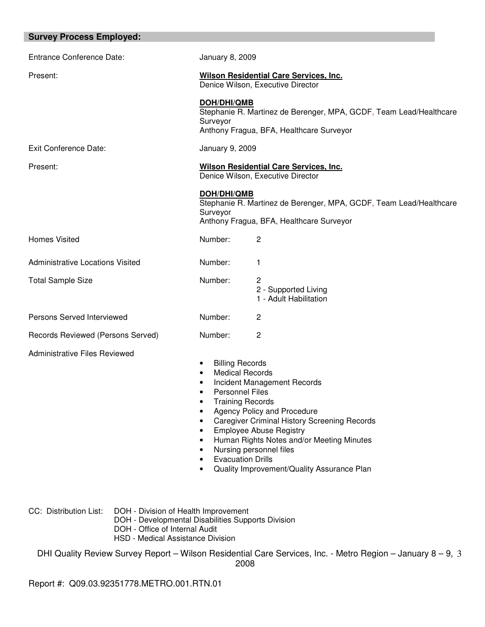| <b>Survey Process Employed:</b>         |                                                                                                                                                                                                                                                                                                                                                                                                                                          |                                                                                                                |
|-----------------------------------------|------------------------------------------------------------------------------------------------------------------------------------------------------------------------------------------------------------------------------------------------------------------------------------------------------------------------------------------------------------------------------------------------------------------------------------------|----------------------------------------------------------------------------------------------------------------|
| <b>Entrance Conference Date:</b>        | <b>January 8, 2009</b>                                                                                                                                                                                                                                                                                                                                                                                                                   |                                                                                                                |
| Present:                                | <b>Wilson Residential Care Services, Inc.</b><br>Denice Wilson, Executive Director                                                                                                                                                                                                                                                                                                                                                       |                                                                                                                |
|                                         | DOH/DHI/QMB<br>Surveyor                                                                                                                                                                                                                                                                                                                                                                                                                  | Stephanie R. Martinez de Berenger, MPA, GCDF, Team Lead/Healthcare<br>Anthony Fragua, BFA, Healthcare Surveyor |
| <b>Exit Conference Date:</b>            | January 9, 2009                                                                                                                                                                                                                                                                                                                                                                                                                          |                                                                                                                |
| Present:                                |                                                                                                                                                                                                                                                                                                                                                                                                                                          | Wilson Residential Care Services, Inc.<br>Denice Wilson, Executive Director                                    |
|                                         | <b>DOH/DHI/QMB</b><br>Surveyor                                                                                                                                                                                                                                                                                                                                                                                                           | Stephanie R. Martinez de Berenger, MPA, GCDF, Team Lead/Healthcare<br>Anthony Fragua, BFA, Healthcare Surveyor |
| <b>Homes Visited</b>                    | Number:                                                                                                                                                                                                                                                                                                                                                                                                                                  | 2                                                                                                              |
| <b>Administrative Locations Visited</b> | Number:                                                                                                                                                                                                                                                                                                                                                                                                                                  | 1                                                                                                              |
| <b>Total Sample Size</b>                | Number:                                                                                                                                                                                                                                                                                                                                                                                                                                  | 2<br>2 - Supported Living<br>1 - Adult Habilitation                                                            |
| Persons Served Interviewed              | Number:                                                                                                                                                                                                                                                                                                                                                                                                                                  | 2                                                                                                              |
| Records Reviewed (Persons Served)       | Number:                                                                                                                                                                                                                                                                                                                                                                                                                                  | 2                                                                                                              |
| <b>Administrative Files Reviewed</b>    | <b>Billing Records</b><br><b>Medical Records</b><br>Incident Management Records<br><b>Personnel Files</b><br><b>Training Records</b><br>Agency Policy and Procedure<br><b>Caregiver Criminal History Screening Records</b><br>$\bullet$<br><b>Employee Abuse Registry</b><br>$\bullet$<br>Human Rights Notes and/or Meeting Minutes<br>Nursing personnel files<br><b>Evacuation Drills</b><br>Quality Improvement/Quality Assurance Plan |                                                                                                                |

CC: Distribution List: DOH - Division of Health Improvement

DOH - Developmental Disabilities Supports Division

- DOH Office of Internal Audit
- HSD Medical Assistance Division

DHI Quality Review Survey Report – Wilson Residential Care Services, Inc. - Metro Region – January 8 – 9, 3 2008

Report #: Q09.03.92351778.METRO.001.RTN.01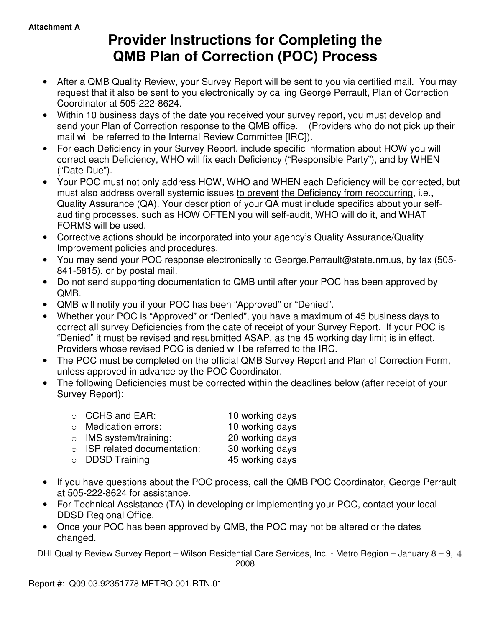# **Provider Instructions for Completing the QMB Plan of Correction (POC) Process**

- After a QMB Quality Review, your Survey Report will be sent to you via certified mail. You may request that it also be sent to you electronically by calling George Perrault, Plan of Correction Coordinator at 505-222-8624.
- Within 10 business days of the date you received your survey report, you must develop and send your Plan of Correction response to the QMB office. (Providers who do not pick up their mail will be referred to the Internal Review Committee [IRC]).
- For each Deficiency in your Survey Report, include specific information about HOW you will correct each Deficiency, WHO will fix each Deficiency ("Responsible Party"), and by WHEN ("Date Due").
- Your POC must not only address HOW, WHO and WHEN each Deficiency will be corrected, but must also address overall systemic issues to prevent the Deficiency from reoccurring, i.e., Quality Assurance (QA). Your description of your QA must include specifics about your selfauditing processes, such as HOW OFTEN you will self-audit, WHO will do it, and WHAT FORMS will be used.
- Corrective actions should be incorporated into your agency's Quality Assurance/Quality Improvement policies and procedures.
- You may send your POC response electronically to George.Perrault@state.nm.us, by fax (505- 841-5815), or by postal mail.
- Do not send supporting documentation to QMB until after your POC has been approved by QMB.
- QMB will notify you if your POC has been "Approved" or "Denied".
- Whether your POC is "Approved" or "Denied", you have a maximum of 45 business days to correct all survey Deficiencies from the date of receipt of your Survey Report. If your POC is "Denied" it must be revised and resubmitted ASAP, as the 45 working day limit is in effect. Providers whose revised POC is denied will be referred to the IRC.
- The POC must be completed on the official QMB Survey Report and Plan of Correction Form, unless approved in advance by the POC Coordinator.
- The following Deficiencies must be corrected within the deadlines below (after receipt of your Survey Report):

| $\circ$ CCHS and EAR:              | 10 working days |
|------------------------------------|-----------------|
| $\circ$ Medication errors:         | 10 working days |
| $\circ$ IMS system/training:       | 20 working days |
| $\circ$ ISP related documentation: | 30 working days |
| $\circ$ DDSD Training              | 45 working days |

- If you have questions about the POC process, call the QMB POC Coordinator, George Perrault at 505-222-8624 for assistance.
- For Technical Assistance (TA) in developing or implementing your POC, contact your local DDSD Regional Office.
- Once your POC has been approved by QMB, the POC may not be altered or the dates changed.

DHI Quality Review Survey Report – Wilson Residential Care Services, Inc. - Metro Region – January 8 – 9, 4

2008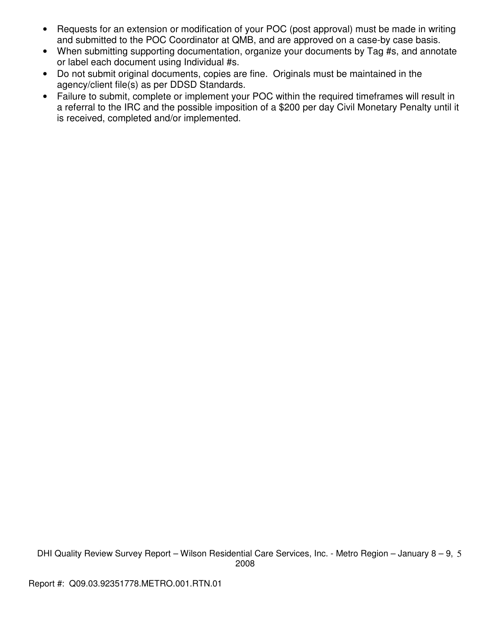- Requests for an extension or modification of your POC (post approval) must be made in writing and submitted to the POC Coordinator at QMB, and are approved on a case-by case basis.
- When submitting supporting documentation, organize your documents by Tag #s, and annotate or label each document using Individual #s.
- Do not submit original documents, copies are fine. Originals must be maintained in the agency/client file(s) as per DDSD Standards.
- Failure to submit, complete or implement your POC within the required timeframes will result in a referral to the IRC and the possible imposition of a \$200 per day Civil Monetary Penalty until it is received, completed and/or implemented.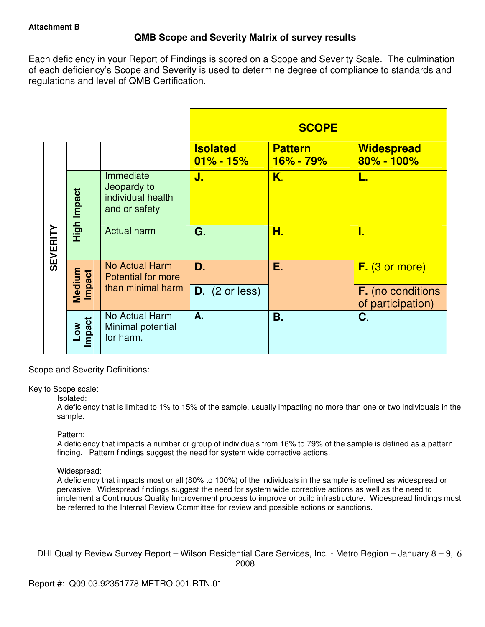# **QMB Scope and Severity Matrix of survey results**

Each deficiency in your Report of Findings is scored on a Scope and Severity Scale. The culmination of each deficiency's Scope and Severity is used to determine degree of compliance to standards and regulations and level of QMB Certification.

|                 |                           |                                                                |                                  | <b>SCOPE</b>                  |                                               |
|-----------------|---------------------------|----------------------------------------------------------------|----------------------------------|-------------------------------|-----------------------------------------------|
|                 |                           |                                                                | <b>Isolated</b><br>$01\% - 15\%$ | <b>Pattern</b><br>$16% - 79%$ | <b>Widespread</b><br>$80\% - 100\%$           |
|                 | High Impact               | Immediate<br>Jeopardy to<br>individual health<br>and or safety | J.                               | K.                            | L.                                            |
| <b>SEVERITY</b> |                           | <b>Actual harm</b>                                             | G.                               | Н.                            | I.                                            |
|                 | Medium<br>Impact          | <b>No Actual Harm</b><br><b>Potential for more</b>             | D.                               | Е.                            | $F.$ (3 or more)                              |
|                 |                           | than minimal harm                                              | $D.$ (2 or less)                 |                               | <b>F.</b> (no conditions<br>of participation) |
|                 | Impact<br>NO <sub>-</sub> | No Actual Harm<br>Minimal potential<br>for harm.               | A.                               | <b>B.</b>                     | C.                                            |

Scope and Severity Definitions:

## Key to Scope scale:

## Isolated:

A deficiency that is limited to 1% to 15% of the sample, usually impacting no more than one or two individuals in the sample.

## Pattern:

A deficiency that impacts a number or group of individuals from 16% to 79% of the sample is defined as a pattern finding. Pattern findings suggest the need for system wide corrective actions.

## Widespread:

A deficiency that impacts most or all (80% to 100%) of the individuals in the sample is defined as widespread or pervasive. Widespread findings suggest the need for system wide corrective actions as well as the need to implement a Continuous Quality Improvement process to improve or build infrastructure. Widespread findings must be referred to the Internal Review Committee for review and possible actions or sanctions.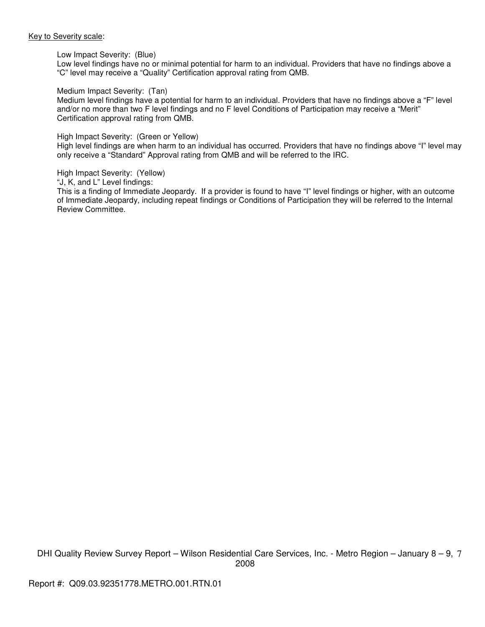#### Key to Severity scale:

#### Low Impact Severity: (Blue)

Low level findings have no or minimal potential for harm to an individual. Providers that have no findings above a "C" level may receive a "Quality" Certification approval rating from QMB.

#### Medium Impact Severity: (Tan)

Medium level findings have a potential for harm to an individual. Providers that have no findings above a "F" level and/or no more than two F level findings and no F level Conditions of Participation may receive a "Merit" Certification approval rating from QMB.

#### High Impact Severity: (Green or Yellow)

High level findings are when harm to an individual has occurred. Providers that have no findings above "I" level may only receive a "Standard" Approval rating from QMB and will be referred to the IRC.

#### High Impact Severity: (Yellow)

"J, K, and L" Level findings:

This is a finding of Immediate Jeopardy. If a provider is found to have "I" level findings or higher, with an outcome of Immediate Jeopardy, including repeat findings or Conditions of Participation they will be referred to the Internal Review Committee.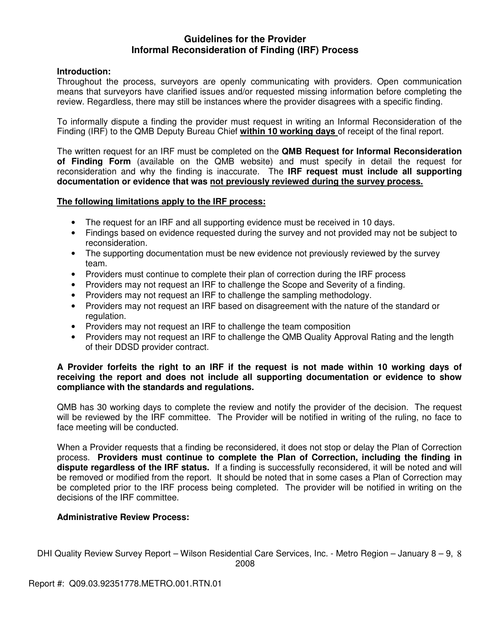## **Guidelines for the Provider Informal Reconsideration of Finding (IRF) Process**

## **Introduction:**

Throughout the process, surveyors are openly communicating with providers. Open communication means that surveyors have clarified issues and/or requested missing information before completing the review. Regardless, there may still be instances where the provider disagrees with a specific finding.

To informally dispute a finding the provider must request in writing an Informal Reconsideration of the Finding (IRF) to the QMB Deputy Bureau Chief **within 10 working days** of receipt of the final report.

The written request for an IRF must be completed on the **QMB Request for Informal Reconsideration of Finding Form** (available on the QMB website) and must specify in detail the request for reconsideration and why the finding is inaccurate. The **IRF request must include all supporting documentation or evidence that was not previously reviewed during the survey process.** 

## **The following limitations apply to the IRF process:**

- The request for an IRF and all supporting evidence must be received in 10 days.
- Findings based on evidence requested during the survey and not provided may not be subject to reconsideration.
- The supporting documentation must be new evidence not previously reviewed by the survey team.
- Providers must continue to complete their plan of correction during the IRF process
- Providers may not request an IRF to challenge the Scope and Severity of a finding.
- Providers may not request an IRF to challenge the sampling methodology.
- Providers may not request an IRF based on disagreement with the nature of the standard or regulation.
- Providers may not request an IRF to challenge the team composition
- Providers may not request an IRF to challenge the QMB Quality Approval Rating and the length of their DDSD provider contract.

## **A Provider forfeits the right to an IRF if the request is not made within 10 working days of receiving the report and does not include all supporting documentation or evidence to show compliance with the standards and regulations.**

QMB has 30 working days to complete the review and notify the provider of the decision. The request will be reviewed by the IRF committee. The Provider will be notified in writing of the ruling, no face to face meeting will be conducted.

When a Provider requests that a finding be reconsidered, it does not stop or delay the Plan of Correction process. **Providers must continue to complete the Plan of Correction, including the finding in dispute regardless of the IRF status.** If a finding is successfully reconsidered, it will be noted and will be removed or modified from the report. It should be noted that in some cases a Plan of Correction may be completed prior to the IRF process being completed. The provider will be notified in writing on the decisions of the IRF committee.

## **Administrative Review Process:**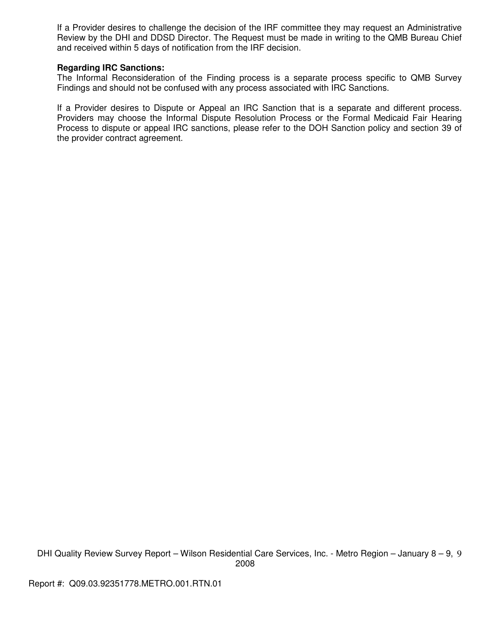If a Provider desires to challenge the decision of the IRF committee they may request an Administrative Review by the DHI and DDSD Director. The Request must be made in writing to the QMB Bureau Chief and received within 5 days of notification from the IRF decision.

## **Regarding IRC Sanctions:**

The Informal Reconsideration of the Finding process is a separate process specific to QMB Survey Findings and should not be confused with any process associated with IRC Sanctions.

If a Provider desires to Dispute or Appeal an IRC Sanction that is a separate and different process. Providers may choose the Informal Dispute Resolution Process or the Formal Medicaid Fair Hearing Process to dispute or appeal IRC sanctions, please refer to the DOH Sanction policy and section 39 of the provider contract agreement.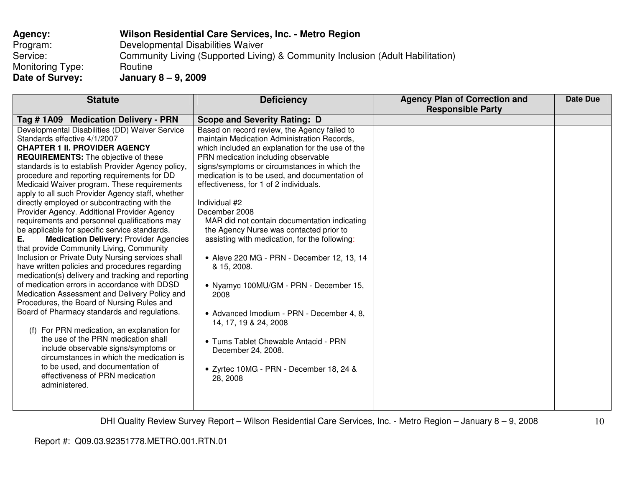| Agency:          | Wilson Residential Care Services, Inc. - Metro Region                          |
|------------------|--------------------------------------------------------------------------------|
| Program:         | Developmental Disabilities Waiver                                              |
| Service:         | Community Living (Supported Living) & Community Inclusion (Adult Habilitation) |
| Monitoring Type: | Routine                                                                        |
| Date of Survey:  | January 8 - 9, 2009                                                            |

| <b>Statute</b>                                                      | <b>Deficiency</b>                                | <b>Agency Plan of Correction and</b><br><b>Responsible Party</b> | Date Due |
|---------------------------------------------------------------------|--------------------------------------------------|------------------------------------------------------------------|----------|
| Tag # 1A09 Medication Delivery - PRN                                | <b>Scope and Severity Rating: D</b>              |                                                                  |          |
| Developmental Disabilities (DD) Waiver Service                      | Based on record review, the Agency failed to     |                                                                  |          |
| Standards effective 4/1/2007                                        | maintain Medication Administration Records,      |                                                                  |          |
| <b>CHAPTER 1 II. PROVIDER AGENCY</b>                                | which included an explanation for the use of the |                                                                  |          |
| <b>REQUIREMENTS:</b> The objective of these                         | PRN medication including observable              |                                                                  |          |
| standards is to establish Provider Agency policy,                   | signs/symptoms or circumstances in which the     |                                                                  |          |
| procedure and reporting requirements for DD                         | medication is to be used, and documentation of   |                                                                  |          |
| Medicaid Waiver program. These requirements                         | effectiveness, for 1 of 2 individuals.           |                                                                  |          |
| apply to all such Provider Agency staff, whether                    |                                                  |                                                                  |          |
| directly employed or subcontracting with the                        | Individual #2                                    |                                                                  |          |
| Provider Agency. Additional Provider Agency                         | December 2008                                    |                                                                  |          |
| requirements and personnel qualifications may                       | MAR did not contain documentation indicating     |                                                                  |          |
| be applicable for specific service standards.                       | the Agency Nurse was contacted prior to          |                                                                  |          |
| <b>Medication Delivery: Provider Agencies</b><br>Е.                 | assisting with medication, for the following:    |                                                                  |          |
| that provide Community Living, Community                            |                                                  |                                                                  |          |
| Inclusion or Private Duty Nursing services shall                    | • Aleve 220 MG - PRN - December 12, 13, 14       |                                                                  |          |
| have written policies and procedures regarding                      | & 15, 2008.                                      |                                                                  |          |
| medication(s) delivery and tracking and reporting                   |                                                  |                                                                  |          |
| of medication errors in accordance with DDSD                        | • Nyamyc 100MU/GM - PRN - December 15,           |                                                                  |          |
| Medication Assessment and Delivery Policy and                       | 2008                                             |                                                                  |          |
| Procedures, the Board of Nursing Rules and                          |                                                  |                                                                  |          |
| Board of Pharmacy standards and regulations.                        | • Advanced Imodium - PRN - December 4, 8,        |                                                                  |          |
|                                                                     | 14, 17, 19 & 24, 2008                            |                                                                  |          |
| For PRN medication, an explanation for<br>(f)                       |                                                  |                                                                  |          |
| the use of the PRN medication shall                                 | • Tums Tablet Chewable Antacid - PRN             |                                                                  |          |
| include observable signs/symptoms or                                | December 24, 2008.                               |                                                                  |          |
| circumstances in which the medication is                            |                                                  |                                                                  |          |
| to be used, and documentation of<br>effectiveness of PRN medication | • Zyrtec 10MG - PRN - December 18, 24 &          |                                                                  |          |
| administered.                                                       | 28, 2008                                         |                                                                  |          |
|                                                                     |                                                  |                                                                  |          |
|                                                                     |                                                  |                                                                  |          |
|                                                                     |                                                  |                                                                  |          |

DHI Quality Review Survey Report – Wilson Residential Care Services, Inc. - Metro Region – January 8 – 9, 2008

10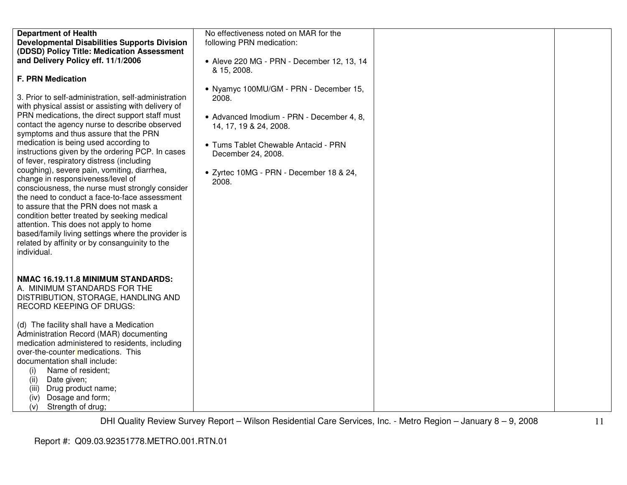| <b>Department of Health</b>                                                                          | No effectiveness noted on MAR for the                     |  |
|------------------------------------------------------------------------------------------------------|-----------------------------------------------------------|--|
| <b>Developmental Disabilities Supports Division</b>                                                  | following PRN medication:                                 |  |
| (DDSD) Policy Title: Medication Assessment                                                           |                                                           |  |
| and Delivery Policy eff. 11/1/2006                                                                   | • Aleve 220 MG - PRN - December 12, 13, 14<br>& 15, 2008. |  |
| <b>F. PRN Medication</b>                                                                             |                                                           |  |
|                                                                                                      | • Nyamyc 100MU/GM - PRN - December 15,                    |  |
| 3. Prior to self-administration, self-administration                                                 | 2008.                                                     |  |
| with physical assist or assisting with delivery of                                                   |                                                           |  |
| PRN medications, the direct support staff must                                                       | • Advanced Imodium - PRN - December 4, 8,                 |  |
| contact the agency nurse to describe observed                                                        | 14, 17, 19 & 24, 2008.                                    |  |
| symptoms and thus assure that the PRN                                                                |                                                           |  |
| medication is being used according to                                                                | • Tums Tablet Chewable Antacid - PRN                      |  |
| instructions given by the ordering PCP. In cases                                                     | December 24, 2008.                                        |  |
| of fever, respiratory distress (including                                                            |                                                           |  |
| coughing), severe pain, vomiting, diarrhea,                                                          | · Zyrtec 10MG - PRN - December 18 & 24,                   |  |
| change in responsiveness/level of                                                                    | 2008.                                                     |  |
| consciousness, the nurse must strongly consider                                                      |                                                           |  |
| the need to conduct a face-to-face assessment                                                        |                                                           |  |
| to assure that the PRN does not mask a                                                               |                                                           |  |
| condition better treated by seeking medical                                                          |                                                           |  |
| attention. This does not apply to home                                                               |                                                           |  |
| based/family living settings where the provider is<br>related by affinity or by consanguinity to the |                                                           |  |
| individual.                                                                                          |                                                           |  |
|                                                                                                      |                                                           |  |
|                                                                                                      |                                                           |  |
| NMAC 16.19.11.8 MINIMUM STANDARDS:                                                                   |                                                           |  |
| A. MINIMUM STANDARDS FOR THE                                                                         |                                                           |  |
| DISTRIBUTION, STORAGE, HANDLING AND                                                                  |                                                           |  |
| <b>RECORD KEEPING OF DRUGS:</b>                                                                      |                                                           |  |
|                                                                                                      |                                                           |  |
| (d) The facility shall have a Medication                                                             |                                                           |  |
| Administration Record (MAR) documenting                                                              |                                                           |  |
| medication administered to residents, including                                                      |                                                           |  |
| over-the-counter medications. This                                                                   |                                                           |  |
| documentation shall include:                                                                         |                                                           |  |
| Name of resident;<br>(i)                                                                             |                                                           |  |
| Date given;<br>(ii)                                                                                  |                                                           |  |
| Drug product name;<br>(iii)                                                                          |                                                           |  |
| Dosage and form;<br>(iv)                                                                             |                                                           |  |
| Strength of drug;<br>(v)                                                                             |                                                           |  |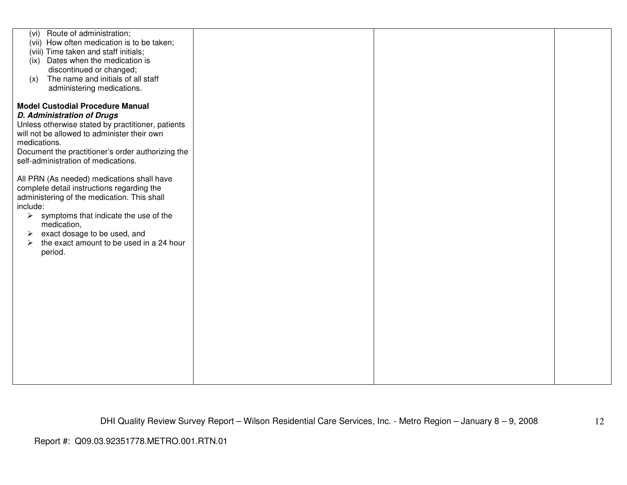| (vi) Route of administration;<br>(vii) How often medication is to be taken;<br>(viii) Time taken and staff initials;<br>(ix) Dates when the medication is<br>discontinued or changed;<br>The name and initials of all staff<br>(x)<br>administering medications.<br><b>Model Custodial Procedure Manual</b><br><b>D. Administration of Drugs</b><br>Unless otherwise stated by practitioner, patients<br>will not be allowed to administer their own<br>medications.<br>Document the practitioner's order authorizing the<br>self-administration of medications.<br>All PRN (As needed) medications shall have<br>complete detail instructions regarding the<br>administering of the medication. This shall<br>include:<br>$\triangleright$ symptoms that indicate the use of the<br>medication,<br>exact dosage to be used, and<br>➤<br>the exact amount to be used in a 24 hour<br>➤<br>period. |  |  |
|---------------------------------------------------------------------------------------------------------------------------------------------------------------------------------------------------------------------------------------------------------------------------------------------------------------------------------------------------------------------------------------------------------------------------------------------------------------------------------------------------------------------------------------------------------------------------------------------------------------------------------------------------------------------------------------------------------------------------------------------------------------------------------------------------------------------------------------------------------------------------------------------------|--|--|
|                                                                                                                                                                                                                                                                                                                                                                                                                                                                                                                                                                                                                                                                                                                                                                                                                                                                                                   |  |  |
|                                                                                                                                                                                                                                                                                                                                                                                                                                                                                                                                                                                                                                                                                                                                                                                                                                                                                                   |  |  |
|                                                                                                                                                                                                                                                                                                                                                                                                                                                                                                                                                                                                                                                                                                                                                                                                                                                                                                   |  |  |
|                                                                                                                                                                                                                                                                                                                                                                                                                                                                                                                                                                                                                                                                                                                                                                                                                                                                                                   |  |  |
|                                                                                                                                                                                                                                                                                                                                                                                                                                                                                                                                                                                                                                                                                                                                                                                                                                                                                                   |  |  |
|                                                                                                                                                                                                                                                                                                                                                                                                                                                                                                                                                                                                                                                                                                                                                                                                                                                                                                   |  |  |
|                                                                                                                                                                                                                                                                                                                                                                                                                                                                                                                                                                                                                                                                                                                                                                                                                                                                                                   |  |  |
|                                                                                                                                                                                                                                                                                                                                                                                                                                                                                                                                                                                                                                                                                                                                                                                                                                                                                                   |  |  |
|                                                                                                                                                                                                                                                                                                                                                                                                                                                                                                                                                                                                                                                                                                                                                                                                                                                                                                   |  |  |
|                                                                                                                                                                                                                                                                                                                                                                                                                                                                                                                                                                                                                                                                                                                                                                                                                                                                                                   |  |  |
|                                                                                                                                                                                                                                                                                                                                                                                                                                                                                                                                                                                                                                                                                                                                                                                                                                                                                                   |  |  |
|                                                                                                                                                                                                                                                                                                                                                                                                                                                                                                                                                                                                                                                                                                                                                                                                                                                                                                   |  |  |
|                                                                                                                                                                                                                                                                                                                                                                                                                                                                                                                                                                                                                                                                                                                                                                                                                                                                                                   |  |  |
|                                                                                                                                                                                                                                                                                                                                                                                                                                                                                                                                                                                                                                                                                                                                                                                                                                                                                                   |  |  |
|                                                                                                                                                                                                                                                                                                                                                                                                                                                                                                                                                                                                                                                                                                                                                                                                                                                                                                   |  |  |
|                                                                                                                                                                                                                                                                                                                                                                                                                                                                                                                                                                                                                                                                                                                                                                                                                                                                                                   |  |  |
|                                                                                                                                                                                                                                                                                                                                                                                                                                                                                                                                                                                                                                                                                                                                                                                                                                                                                                   |  |  |
|                                                                                                                                                                                                                                                                                                                                                                                                                                                                                                                                                                                                                                                                                                                                                                                                                                                                                                   |  |  |
|                                                                                                                                                                                                                                                                                                                                                                                                                                                                                                                                                                                                                                                                                                                                                                                                                                                                                                   |  |  |
|                                                                                                                                                                                                                                                                                                                                                                                                                                                                                                                                                                                                                                                                                                                                                                                                                                                                                                   |  |  |
|                                                                                                                                                                                                                                                                                                                                                                                                                                                                                                                                                                                                                                                                                                                                                                                                                                                                                                   |  |  |
|                                                                                                                                                                                                                                                                                                                                                                                                                                                                                                                                                                                                                                                                                                                                                                                                                                                                                                   |  |  |
|                                                                                                                                                                                                                                                                                                                                                                                                                                                                                                                                                                                                                                                                                                                                                                                                                                                                                                   |  |  |
|                                                                                                                                                                                                                                                                                                                                                                                                                                                                                                                                                                                                                                                                                                                                                                                                                                                                                                   |  |  |
|                                                                                                                                                                                                                                                                                                                                                                                                                                                                                                                                                                                                                                                                                                                                                                                                                                                                                                   |  |  |
|                                                                                                                                                                                                                                                                                                                                                                                                                                                                                                                                                                                                                                                                                                                                                                                                                                                                                                   |  |  |
|                                                                                                                                                                                                                                                                                                                                                                                                                                                                                                                                                                                                                                                                                                                                                                                                                                                                                                   |  |  |
|                                                                                                                                                                                                                                                                                                                                                                                                                                                                                                                                                                                                                                                                                                                                                                                                                                                                                                   |  |  |
|                                                                                                                                                                                                                                                                                                                                                                                                                                                                                                                                                                                                                                                                                                                                                                                                                                                                                                   |  |  |
|                                                                                                                                                                                                                                                                                                                                                                                                                                                                                                                                                                                                                                                                                                                                                                                                                                                                                                   |  |  |
|                                                                                                                                                                                                                                                                                                                                                                                                                                                                                                                                                                                                                                                                                                                                                                                                                                                                                                   |  |  |
|                                                                                                                                                                                                                                                                                                                                                                                                                                                                                                                                                                                                                                                                                                                                                                                                                                                                                                   |  |  |
|                                                                                                                                                                                                                                                                                                                                                                                                                                                                                                                                                                                                                                                                                                                                                                                                                                                                                                   |  |  |
|                                                                                                                                                                                                                                                                                                                                                                                                                                                                                                                                                                                                                                                                                                                                                                                                                                                                                                   |  |  |
|                                                                                                                                                                                                                                                                                                                                                                                                                                                                                                                                                                                                                                                                                                                                                                                                                                                                                                   |  |  |
|                                                                                                                                                                                                                                                                                                                                                                                                                                                                                                                                                                                                                                                                                                                                                                                                                                                                                                   |  |  |
|                                                                                                                                                                                                                                                                                                                                                                                                                                                                                                                                                                                                                                                                                                                                                                                                                                                                                                   |  |  |
|                                                                                                                                                                                                                                                                                                                                                                                                                                                                                                                                                                                                                                                                                                                                                                                                                                                                                                   |  |  |
|                                                                                                                                                                                                                                                                                                                                                                                                                                                                                                                                                                                                                                                                                                                                                                                                                                                                                                   |  |  |
|                                                                                                                                                                                                                                                                                                                                                                                                                                                                                                                                                                                                                                                                                                                                                                                                                                                                                                   |  |  |
|                                                                                                                                                                                                                                                                                                                                                                                                                                                                                                                                                                                                                                                                                                                                                                                                                                                                                                   |  |  |
|                                                                                                                                                                                                                                                                                                                                                                                                                                                                                                                                                                                                                                                                                                                                                                                                                                                                                                   |  |  |
|                                                                                                                                                                                                                                                                                                                                                                                                                                                                                                                                                                                                                                                                                                                                                                                                                                                                                                   |  |  |
|                                                                                                                                                                                                                                                                                                                                                                                                                                                                                                                                                                                                                                                                                                                                                                                                                                                                                                   |  |  |
|                                                                                                                                                                                                                                                                                                                                                                                                                                                                                                                                                                                                                                                                                                                                                                                                                                                                                                   |  |  |
|                                                                                                                                                                                                                                                                                                                                                                                                                                                                                                                                                                                                                                                                                                                                                                                                                                                                                                   |  |  |
|                                                                                                                                                                                                                                                                                                                                                                                                                                                                                                                                                                                                                                                                                                                                                                                                                                                                                                   |  |  |
|                                                                                                                                                                                                                                                                                                                                                                                                                                                                                                                                                                                                                                                                                                                                                                                                                                                                                                   |  |  |
|                                                                                                                                                                                                                                                                                                                                                                                                                                                                                                                                                                                                                                                                                                                                                                                                                                                                                                   |  |  |
|                                                                                                                                                                                                                                                                                                                                                                                                                                                                                                                                                                                                                                                                                                                                                                                                                                                                                                   |  |  |
|                                                                                                                                                                                                                                                                                                                                                                                                                                                                                                                                                                                                                                                                                                                                                                                                                                                                                                   |  |  |
|                                                                                                                                                                                                                                                                                                                                                                                                                                                                                                                                                                                                                                                                                                                                                                                                                                                                                                   |  |  |
|                                                                                                                                                                                                                                                                                                                                                                                                                                                                                                                                                                                                                                                                                                                                                                                                                                                                                                   |  |  |
|                                                                                                                                                                                                                                                                                                                                                                                                                                                                                                                                                                                                                                                                                                                                                                                                                                                                                                   |  |  |
|                                                                                                                                                                                                                                                                                                                                                                                                                                                                                                                                                                                                                                                                                                                                                                                                                                                                                                   |  |  |
|                                                                                                                                                                                                                                                                                                                                                                                                                                                                                                                                                                                                                                                                                                                                                                                                                                                                                                   |  |  |
|                                                                                                                                                                                                                                                                                                                                                                                                                                                                                                                                                                                                                                                                                                                                                                                                                                                                                                   |  |  |
|                                                                                                                                                                                                                                                                                                                                                                                                                                                                                                                                                                                                                                                                                                                                                                                                                                                                                                   |  |  |